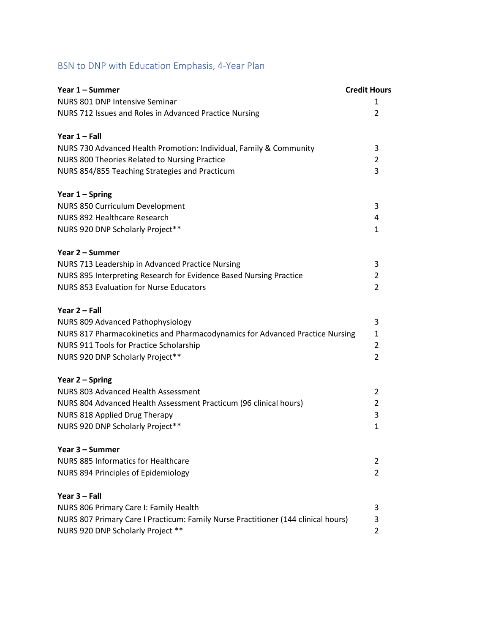## BSN to DNP with Education Emphasis, 4-Year Plan

| Year 1 – Summer                                                                   | <b>Credit Hours</b> |
|-----------------------------------------------------------------------------------|---------------------|
| NURS 801 DNP Intensive Seminar                                                    | 1.                  |
| NURS 712 Issues and Roles in Advanced Practice Nursing                            | 2                   |
| Year $1 -$ Fall                                                                   |                     |
| NURS 730 Advanced Health Promotion: Individual, Family & Community                | 3                   |
| NURS 800 Theories Related to Nursing Practice                                     | $\overline{2}$      |
| NURS 854/855 Teaching Strategies and Practicum                                    | 3                   |
| Year $1 -$ Spring                                                                 |                     |
| NURS 850 Curriculum Development                                                   | 3                   |
| NURS 892 Healthcare Research                                                      | 4                   |
| NURS 920 DNP Scholarly Project**                                                  | $\mathbf{1}$        |
| Year 2 – Summer                                                                   |                     |
| NURS 713 Leadership in Advanced Practice Nursing                                  | 3                   |
| NURS 895 Interpreting Research for Evidence Based Nursing Practice                | 2                   |
| <b>NURS 853 Evaluation for Nurse Educators</b>                                    | $\overline{2}$      |
| Year 2 - Fall                                                                     |                     |
| NURS 809 Advanced Pathophysiology                                                 | 3                   |
| NURS 817 Pharmacokinetics and Pharmacodynamics for Advanced Practice Nursing      | 1                   |
| NURS 911 Tools for Practice Scholarship                                           | $\overline{2}$      |
| NURS 920 DNP Scholarly Project**                                                  | $\overline{2}$      |
| Year 2 – Spring                                                                   |                     |
| NURS 803 Advanced Health Assessment                                               | 2                   |
| NURS 804 Advanced Health Assessment Practicum (96 clinical hours)                 | $\overline{2}$      |
| NURS 818 Applied Drug Therapy                                                     | 3                   |
| NURS 920 DNP Scholarly Project**                                                  | $\mathbf{1}$        |
| Year 3 - Summer                                                                   |                     |
| NURS 885 Informatics for Healthcare                                               | 2                   |
| NURS 894 Principles of Epidemiology                                               | $\overline{2}$      |
| Year 3 - Fall                                                                     |                     |
| NURS 806 Primary Care I: Family Health                                            | 3                   |
| NURS 807 Primary Care I Practicum: Family Nurse Practitioner (144 clinical hours) | 3                   |
| NURS 920 DNP Scholarly Project **                                                 | 2                   |